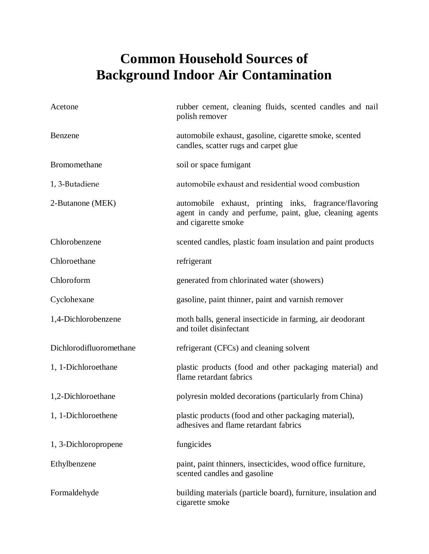## **Common Household Sources of Background Indoor Air Contamination**

| Acetone                 | rubber cement, cleaning fluids, scented candles and nail<br>polish remover                                                                |
|-------------------------|-------------------------------------------------------------------------------------------------------------------------------------------|
| Benzene                 | automobile exhaust, gasoline, cigarette smoke, scented<br>candles, scatter rugs and carpet glue                                           |
| Bromomethane            | soil or space fumigant                                                                                                                    |
| 1, 3-Butadiene          | automobile exhaust and residential wood combustion                                                                                        |
| 2-Butanone (MEK)        | automobile exhaust, printing inks, fragrance/flavoring<br>agent in candy and perfume, paint, glue, cleaning agents<br>and cigarette smoke |
| Chlorobenzene           | scented candles, plastic foam insulation and paint products                                                                               |
| Chloroethane            | refrigerant                                                                                                                               |
| Chloroform              | generated from chlorinated water (showers)                                                                                                |
| Cyclohexane             | gasoline, paint thinner, paint and varnish remover                                                                                        |
| 1,4-Dichlorobenzene     | moth balls, general insecticide in farming, air deodorant<br>and toilet disinfectant                                                      |
| Dichlorodifluoromethane | refrigerant (CFCs) and cleaning solvent                                                                                                   |
| 1, 1-Dichloroethane     | plastic products (food and other packaging material) and<br>flame retardant fabrics                                                       |
| 1,2-Dichloroethane      | polyresin molded decorations (particularly from China)                                                                                    |
| 1, 1-Dichloroethene     | plastic products (food and other packaging material),<br>adhesives and flame retardant fabrics                                            |
| 1, 3-Dichloropropene    | fungicides                                                                                                                                |
| Ethylbenzene            | paint, paint thinners, insecticides, wood office furniture,<br>scented candles and gasoline                                               |
| Formaldehyde            | building materials (particle board), furniture, insulation and<br>cigarette smoke                                                         |